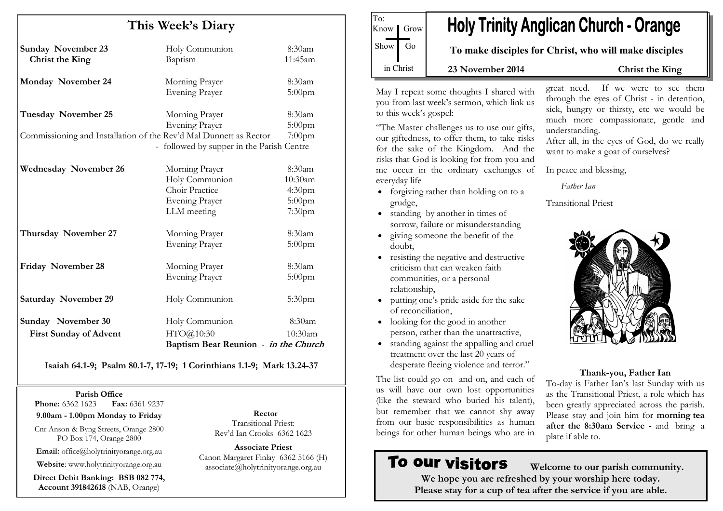| This Week's Diary                                                     |                                                                                     |                                                                |
|-----------------------------------------------------------------------|-------------------------------------------------------------------------------------|----------------------------------------------------------------|
| <b>Sunday November 23</b><br>Christ the King                          | Holy Communion<br>Baptism                                                           | $8:30$ am<br>11:45am                                           |
| <b>Monday November 24</b>                                             | Morning Prayer<br><b>Evening Prayer</b>                                             | 8:30am<br>$5:00$ pm                                            |
| <b>Tuesday November 25</b>                                            | Morning Prayer<br><b>Evening Prayer</b>                                             | 8:30am<br>$5:00$ pm                                            |
| Commissioning and Installation of the Rev'd Mal Dunnett as Rector     | - followed by supper in the Parish Centre                                           | $7:00$ pm                                                      |
| <b>Wednesday November 26</b>                                          | Morning Prayer<br>Holy Communion<br>Choir Practice<br>Evening Prayer<br>LLM meeting | 8:30am<br>10:30am<br>4:30 <sub>pm</sub><br>$5:00$ pm<br>7:30pm |
| Thursday November 27                                                  | Morning Prayer<br><b>Evening Prayer</b>                                             | 8:30am<br>$5:00$ pm                                            |
| Friday November 28                                                    | Morning Prayer<br><b>Evening Prayer</b>                                             | 8:30am<br>$5:00$ pm                                            |
| <b>Saturday November 29</b>                                           | Holy Communion                                                                      | 5:30 <sub>pm</sub>                                             |
| Sunday November 30                                                    | Holy Communion<br>HTO@10:30                                                         | 8:30am<br>10:30am                                              |
| <b>First Sunday of Advent</b><br>Baptism Bear Reunion - in the Church |                                                                                     |                                                                |

Isaiah 64.1-9; Psalm 80.1-7, 17-19; 1 Corinthians 1.1-9; Mark 13.24-37

#### Parish Office

Fax: 6361 9237 **Phone:** 6362 1623

9.00am - 1.00pm Monday to Friday

Cnr Anson & Byng Streets, Orange 2800 PO Box 174, Orange 2800

Email: office@holytrinityorange.org.au

Website: www.holytrinityorange.org.au

Direct Debit Banking: BSB 082 774, Account 391842618 (NAB, Orange)

Rector Transitional Priest: Rev'd Ian Crooks 6362 1623

Associate Priest Canon Margaret Finlay 6362 5166 (H) associate@holytrinityorange.org.au

**Holy Trinity Anglican Church - Orange** Know *I* Grow  $Show$  Go To make disciples for Christ, who will make disciples in Christ 23 November 2014 Christ the King

May I repeat some thoughts I shared with you from last week's sermon, which link us to this week's gospel:

To:

"The Master challenges us to use our gifts, our giftedness, to offer them, to take risks for the sake of the Kingdom. And the risks that God is looking for from you and me occur in the ordinary exchanges of everyday life

- forgiving rather than holding on to a grudge,
- standing by another in times of sorrow, failure or misunderstanding
- giving someone the benefit of the doubt,
- resisting the negative and destructive criticism that can weaken faith communities, or a personal relationship,
- putting one's pride aside for the sake of reconciliation,
- looking for the good in another person, rather than the unattractive,
- standing against the appalling and cruel treatment over the last 20 years of desperate fleeing violence and terror."

The list could go on and on, and each of us will have our own lost opportunities (like the steward who buried his talent), but remember that we cannot shy away from our basic responsibilities as human beings for other human beings who are in

# To our visitors

great need. If we were to see them through the eyes of Christ - in detention, sick, hungry or thirsty, etc we would be much more compassionate, gentle and understanding.

After all, in the eyes of God, do we really want to make a goat of ourselves?

In peace and blessing,

Father Ian

Transitional Priest



## Thank-you, Father Ian

 To-day is Father Ian's last Sunday with us as the Transitional Priest, a role which has been greatly appreciated across the parish. Please stay and join him for morning tea after the 8:30am Service - and bring a plate if able to.

 Welcome to our parish community. We hope you are refreshed by your worship here today. Please stay for a cup of tea after the service if you are able.